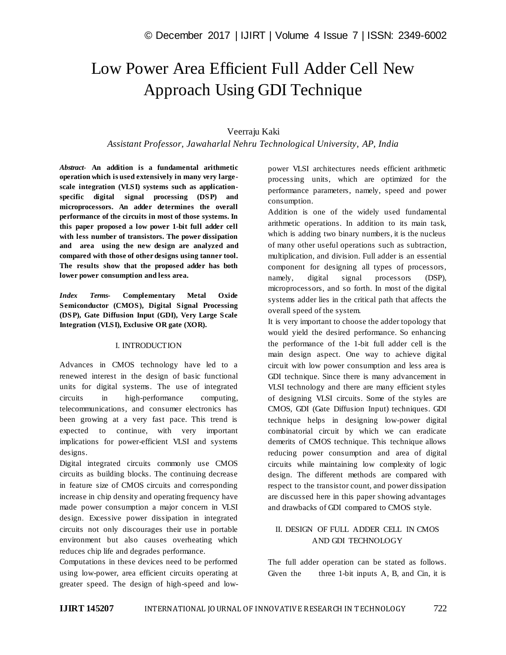# Low Power Area Efficient Full Adder Cell New Approach Using GDI Technique

## Veerraju Kaki

## *Assistant Professor, Jawaharlal Nehru Technological University, AP, India*

*Abstract*- **An addition is a fundamental arithmetic operation which is used extensively in many very largescale integration (VLSI) systems such as applicationspecific digital signal processing (DSP) and microprocessors. An adder determines the overall performance of the circuits in most of those systems. In this paper proposed a low power 1-bit full adder cell with less number of transistors. The power dissipation and area using the new design are analyzed and compared with those of other designs using tanner tool. The results show that the proposed adder has both lower power consumption and less area.**

*Index Terms***- Complementary Metal Oxide Semiconductor (CMOS), Digital Signal Processing (DSP), Gate Diffusion Input (GDI), Very Large Scale Integration (VLSI), Exclusive OR gate (XOR).**

## I. INTRODUCTION

Advances in CMOS technology have led to a renewed interest in the design of basic functional units for digital systems. The use of integrated circuits in high-performance computing, telecommunications, and consumer electronics has been growing at a very fast pace. This trend is expected to continue, with very important implications for power-efficient VLSI and systems designs.

Digital integrated circuits commonly use CMOS circuits as building blocks. The continuing decrease in feature size of CMOS circuits and corresponding increase in chip density and operating frequency have made power consumption a major concern in VLSI design. Excessive power dissipation in integrated circuits not only discourages their use in portable environment but also causes overheating which reduces chip life and degrades performance.

Computations in these devices need to be performed using low-power, area efficient circuits operating at greater speed. The design of high-speed and lowpower VLSI architectures needs efficient arithmetic processing units, which are optimized for the performance parameters, namely, speed and power consumption.

Addition is one of the widely used fundamental arithmetic operations. In addition to its main task, which is adding two binary numbers, it is the nucleus of many other useful operations such as subtraction, multiplication, and division. Full adder is an essential component for designing all types of processors, namely, digital signal processors (DSP), microprocessors, and so forth. In most of the digital systems adder lies in the critical path that affects the overall speed of the system.

It is very important to choose the adder topology that would yield the desired performance. So enhancing the performance of the 1-bit full adder cell is the main design aspect. One way to achieve digital circuit with low power consumption and less area is GDI technique. Since there is many advancement in VLSI technology and there are many efficient styles of designing VLSI circuits. Some of the styles are CMOS, GDI (Gate Diffusion Input) techniques. GDI technique helps in designing low-power digital combinatorial circuit by which we can eradicate demerits of CMOS technique. This technique allows reducing power consumption and area of digital circuits while maintaining low complexity of logic design. The different methods are compared with respect to the transistor count, and power dissipation are discussed here in this paper showing advantages and drawbacks of GDI compared to CMOS style.

## II. DESIGN OF FULL ADDER CELL IN CMOS AND GDI TECHNOLOGY

The full adder operation can be stated as follows. Given the three 1-bit inputs A, B, and Cin, it is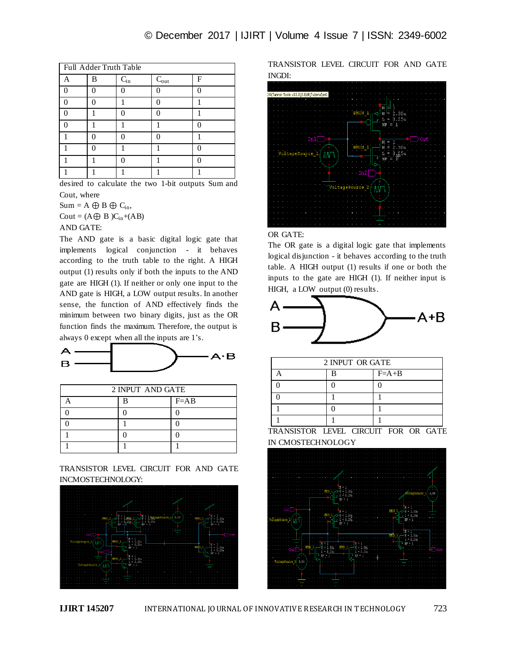| Full Adder Truth Table |   |          |                  |   |  |  |
|------------------------|---|----------|------------------|---|--|--|
|                        | B | $C_{in}$ | $C_{\text{out}}$ | F |  |  |
|                        |   |          |                  |   |  |  |
|                        |   |          |                  |   |  |  |
|                        |   |          |                  |   |  |  |
|                        |   |          |                  |   |  |  |
|                        |   |          |                  |   |  |  |
|                        |   |          |                  |   |  |  |
|                        |   |          |                  |   |  |  |
|                        |   |          |                  |   |  |  |

desired to calculate the two 1-bit outputs Sum and Cout, where

 $Sum = A \oplus B \oplus C_{in}$  $Cout = (A \oplus B)C_{in}+(AB)$ 

AND GATE:

The AND gate is a basic digital logic gate that implements logical conjunction - it behaves according to the truth table to the right. A HIGH output (1) results only if both the inputs to the AND gate are HIGH (1). If neither or only one input to the AND gate is HIGH, a LOW output results. In another sense, the function of AND effectively finds the minimum between two binary digits, just as the OR function finds the maximum. Therefore, the output is always 0 except when all the inputs are 1's.



| 2 INPUT AND GATE |   |          |  |  |
|------------------|---|----------|--|--|
|                  | R | $F = AB$ |  |  |
|                  |   |          |  |  |
|                  |   |          |  |  |
|                  |   |          |  |  |
|                  |   |          |  |  |

TRANSISTOR LEVEL CIRCUIT FOR AND GATE INCMOSTECHNOLOGY:



TRANSISTOR LEVEL CIRCUIT FOR AND GATE INGDI:



#### OR GATE:

The OR gate is a digital logic gate that implements logical disjunction - it behaves according to the truth table. A HIGH output (1) results if one or both the inputs to the gate are HIGH (1). If neither input is HIGH, a LOW output (0) results.



| 2 INPUT OR GATE |  |         |  |  |  |
|-----------------|--|---------|--|--|--|
|                 |  | $F=A+B$ |  |  |  |
|                 |  |         |  |  |  |
|                 |  |         |  |  |  |
|                 |  |         |  |  |  |
|                 |  |         |  |  |  |

TRANSISTOR LEVEL CIRCUIT FOR OR GATE IN CMOSTECHNOLOGY

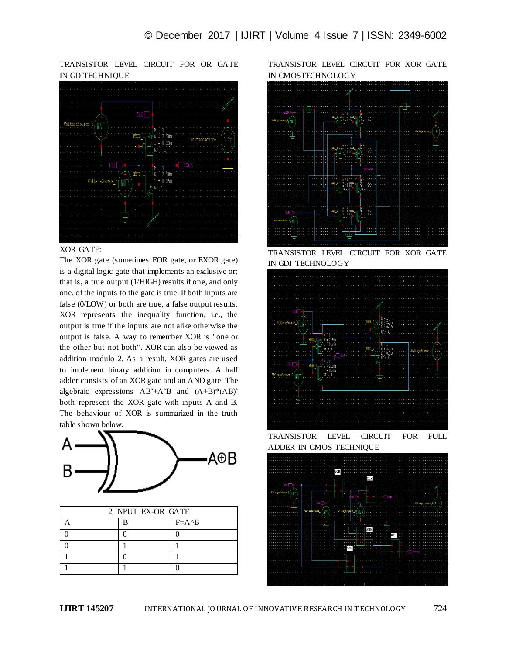TRANSISTOR LEVEL CIRCUIT FOR OR GATE IN GDITECHNIQUE



#### XOR GATE:

The XOR gate (sometimes EOR gate, or EXOR gate) is a digital logic gate that implements an exclusive or; that is, a true output (1/HIGH) results if one, and only one, of the inputs to the gate is true. If both inputs are false (0/LOW) or both are true, a false output results. XOR represents the inequality function, i.e., the output is true if the inputs are not alike otherwise the output is false. A way to remember XOR is "one or the other but not both". XOR can also be viewed as addition modulo 2. As a result, XOR gates are used to implement binary addition in computers. A half adder consists of an XOR gate and an AND gate. The algebraic expressions AB'+A'B and (A+B)\*(AB)' both represent the XOR gate with inputs A and B. The behaviour of XOR is summarized in the truth table shown below.



| 2 INPUT EX-OR GATE |  |                  |  |  |
|--------------------|--|------------------|--|--|
|                    |  | $F = A \wedge B$ |  |  |
|                    |  |                  |  |  |
|                    |  |                  |  |  |
|                    |  |                  |  |  |
|                    |  |                  |  |  |

TRANSISTOR LEVEL CIRCUIT FOR XOR GATE IN CMOSTECHNOLOGY



TRANSISTOR LEVEL CIRCUIT FOR XOR GATE IN GDI TECHNOLOGY



TRANSISTOR LEVEL CIRCUIT FOR FULL ADDER IN CMOS TECHNIQUE